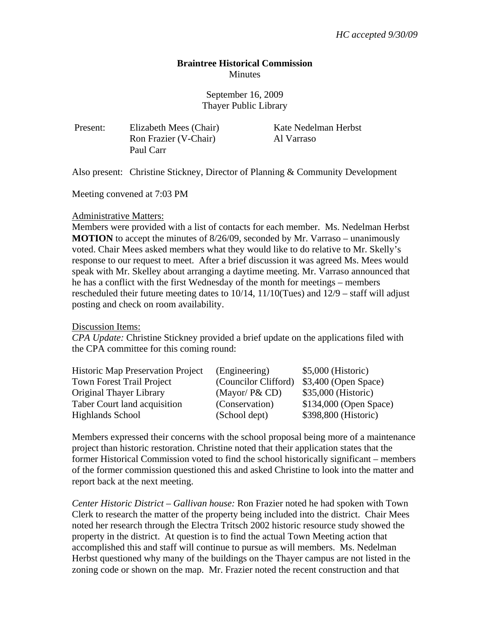## **Braintree Historical Commission Minutes**

September 16, 2009 Thayer Public Library

Present: Elizabeth Mees (Chair) Kate Nedelman Herbst Ron Frazier (V-Chair) Al Varraso Paul Carr

Also present: Christine Stickney, Director of Planning & Community Development

Meeting convened at 7:03 PM

## Administrative Matters:

Members were provided with a list of contacts for each member. Ms. Nedelman Herbst **MOTION** to accept the minutes of 8/26/09, seconded by Mr. Varraso – unanimously voted. Chair Mees asked members what they would like to do relative to Mr. Skelly's response to our request to meet. After a brief discussion it was agreed Ms. Mees would speak with Mr. Skelley about arranging a daytime meeting. Mr. Varraso announced that he has a conflict with the first Wednesday of the month for meetings – members rescheduled their future meeting dates to 10/14, 11/10(Tues) and 12/9 – staff will adjust posting and check on room availability.

Discussion Items:

*CPA Update:* Christine Stickney provided a brief update on the applications filed with the CPA committee for this coming round:

| <b>Historic Map Preservation Project</b> | (Engineering)        | $$5,000$ (Historic)    |
|------------------------------------------|----------------------|------------------------|
| <b>Town Forest Trail Project</b>         | (Councilor Clifford) | $$3,400$ (Open Space)  |
| Original Thayer Library                  | (Mayor/ $P&CD$ )     | \$35,000 (Historic)    |
| Taber Court land acquisition             | (Conservation)       | \$134,000 (Open Space) |
| <b>Highlands School</b>                  | (School dept)        | \$398,800 (Historic)   |

Members expressed their concerns with the school proposal being more of a maintenance project than historic restoration. Christine noted that their application states that the former Historical Commission voted to find the school historically significant – members of the former commission questioned this and asked Christine to look into the matter and report back at the next meeting.

*Center Historic District – Gallivan house:* Ron Frazier noted he had spoken with Town Clerk to research the matter of the property being included into the district. Chair Mees noted her research through the Electra Tritsch 2002 historic resource study showed the property in the district. At question is to find the actual Town Meeting action that accomplished this and staff will continue to pursue as will members. Ms. Nedelman Herbst questioned why many of the buildings on the Thayer campus are not listed in the zoning code or shown on the map. Mr. Frazier noted the recent construction and that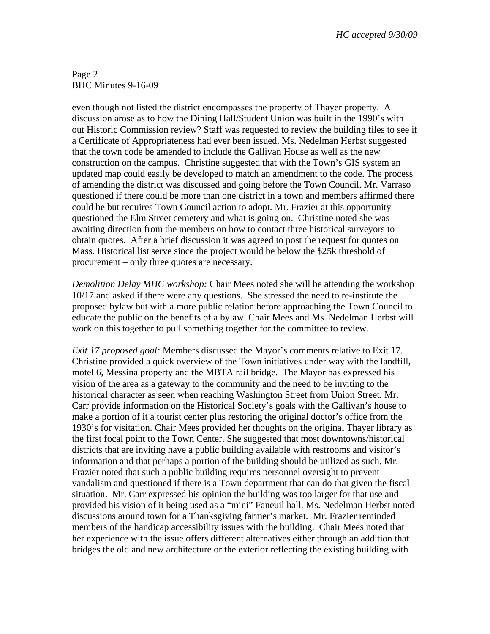Page 2 BHC Minutes 9-16-09

even though not listed the district encompasses the property of Thayer property. A discussion arose as to how the Dining Hall/Student Union was built in the 1990's with out Historic Commission review? Staff was requested to review the building files to see if a Certificate of Appropriateness had ever been issued. Ms. Nedelman Herbst suggested that the town code be amended to include the Gallivan House as well as the new construction on the campus. Christine suggested that with the Town's GIS system an updated map could easily be developed to match an amendment to the code. The process of amending the district was discussed and going before the Town Council. Mr. Varraso questioned if there could be more than one district in a town and members affirmed there could be but requires Town Council action to adopt. Mr. Frazier at this opportunity questioned the Elm Street cemetery and what is going on. Christine noted she was awaiting direction from the members on how to contact three historical surveyors to obtain quotes. After a brief discussion it was agreed to post the request for quotes on Mass. Historical list serve since the project would be below the \$25k threshold of procurement – only three quotes are necessary.

*Demolition Delay MHC workshop:* Chair Mees noted she will be attending the workshop 10/17 and asked if there were any questions. She stressed the need to re-institute the proposed bylaw but with a more public relation before approaching the Town Council to educate the public on the benefits of a bylaw. Chair Mees and Ms. Nedelman Herbst will work on this together to pull something together for the committee to review.

*Exit 17 proposed goal:* Members discussed the Mayor's comments relative to Exit 17. Christine provided a quick overview of the Town initiatives under way with the landfill, motel 6, Messina property and the MBTA rail bridge. The Mayor has expressed his vision of the area as a gateway to the community and the need to be inviting to the historical character as seen when reaching Washington Street from Union Street. Mr. Carr provide information on the Historical Society's goals with the Gallivan's house to make a portion of it a tourist center plus restoring the original doctor's office from the 1930's for visitation. Chair Mees provided her thoughts on the original Thayer library as the first focal point to the Town Center. She suggested that most downtowns/historical districts that are inviting have a public building available with restrooms and visitor's information and that perhaps a portion of the building should be utilized as such. Mr. Frazier noted that such a public building requires personnel oversight to prevent vandalism and questioned if there is a Town department that can do that given the fiscal situation. Mr. Carr expressed his opinion the building was too larger for that use and provided his vision of it being used as a "mini" Faneuil hall. Ms. Nedelman Herbst noted discussions around town for a Thanksgiving farmer's market. Mr. Frazier reminded members of the handicap accessibility issues with the building. Chair Mees noted that her experience with the issue offers different alternatives either through an addition that bridges the old and new architecture or the exterior reflecting the existing building with